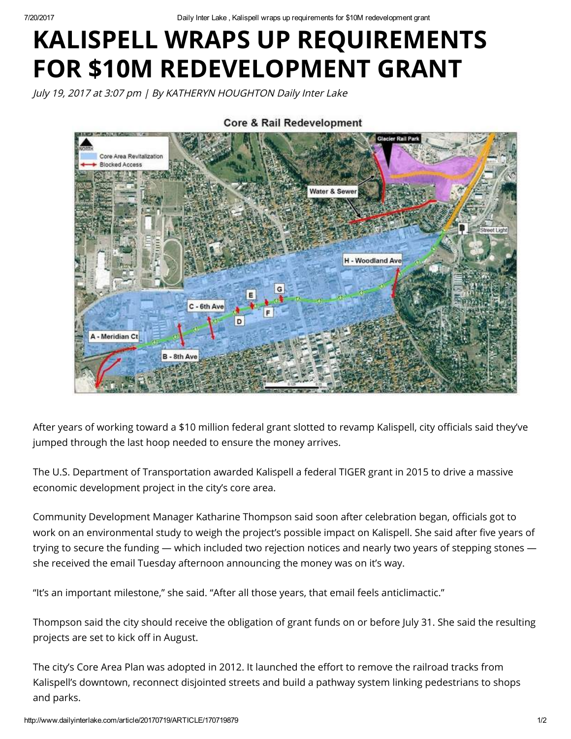7/20/2017 Daily Inter Lake , Kalispell wraps up requirements for \$10M redevelopment grant

## KALISPELL WRAPS UP REQUIREMENTS FOR \$10M REDEVELOPMENT GRANT

July 19, 2017 at 3:07 pm | By KATHERYN HOUGHTON Daily Inter Lake



**Core & Rail Redevelopment** 

After years of working toward a \$10 million federal grant slotted to revamp Kalispell, city officials said they've jumped through the last hoop needed to ensure the money arrives.

The U.S. Department of Transportation awarded Kalispell a federal TIGER grant in 2015 to drive a massive economic development project in the city's core area.

Community Development Manager Katharine Thompson said soon after celebration began, officials got to work on an environmental study to weigh the project's possible impact on Kalispell. She said after five years of trying to secure the funding — which included two rejection notices and nearly two years of stepping stones she received the email Tuesday afternoon announcing the money was on it's way.

"It's an important milestone," she said. "After all those years, that email feels anticlimactic."

Thompson said the city should receive the obligation of grant funds on or before July 31. She said the resulting projects are set to kick off in August.

The city's Core Area Plan was adopted in 2012. It launched the effort to remove the railroad tracks from Kalispell's downtown, reconnect disjointed streets and build a pathway system linking pedestrians to shops and parks.